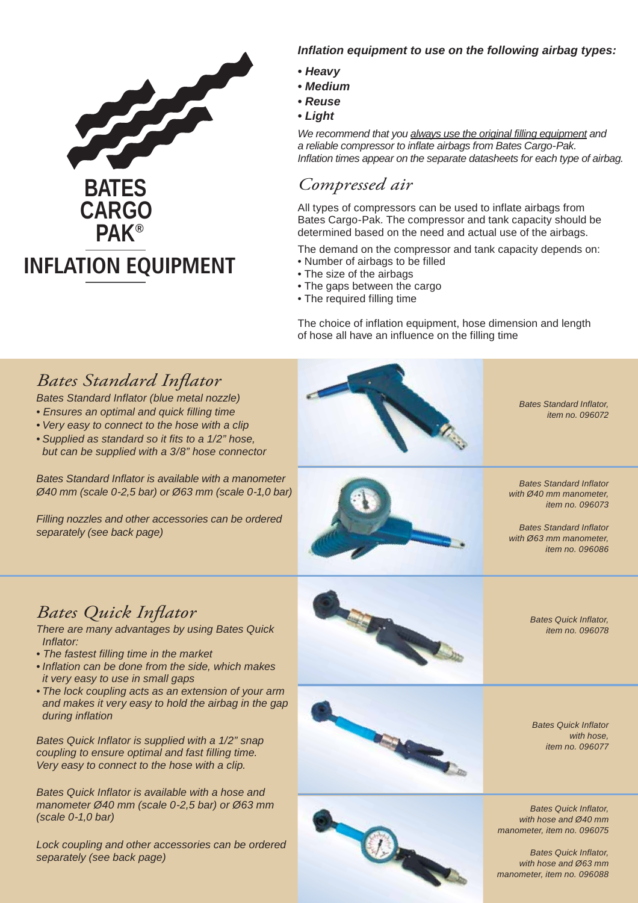

## *Inflation equipment to use on the following airbag types:*

- *Heavy*
- *Medium*
- *Reuse*
- *Light*

*We recommend that you always use the original filling equipment and a reliable compressor to inflate airbags from Bates Cargo-Pak. Inflation times appear on the separate datasheets for each type of airbag.*

## *Compressed air*

All types of compressors can be used to inflate airbags from Bates Cargo-Pak. The compressor and tank capacity should be determined based on the need and actual use of the airbags.

The demand on the compressor and tank capacity depends on:

- Number of airbags to be filled
- The size of the airbags
- The gaps between the cargo
- The required filling time

The choice of inflation equipment, hose dimension and length of hose all have an influence on the filling time



- *Ensures an optimal and quick filling time*
- *Very easy to connect to the hose with a clip*
- *Supplied as standard so it fits to a 1/2" hose, but can be supplied with a 3/8" hose connector*

*Bates Standard Inflator is available with a manometer Ø40 mm (scale 0-2,5 bar) or Ø63 mm (scale 0-1,0 bar)*

*Filling nozzles and other accessories can be ordered separately (see back page)*



*Bates Standard Inflator, item no. 096072*



*Bates Standard Inflator with Ø40 mm manometer, item no. 096073*

*Bates Standard Inflator with Ø63 mm manometer, item no. 096086*

# *Bates Quick Inflator*

*There are many advantages by using Bates Quick Inflator:*

- *The fastest filling time in the market*
- *Inflation can be done from the side, which makes it very easy to use in small gaps*
- *The lock coupling acts as an extension of your arm and makes it very easy to hold the airbag in the gap during inflation*

*Bates Quick Inflator is supplied with a 1/2" snap coupling to ensure optimal and fast filling time. Very easy to connect to the hose with a clip.*

*Bates Quick Inflator is available with a hose and manometer Ø40 mm (scale 0-2,5 bar) or Ø63 mm (scale 0-1,0 bar)*

*Lock coupling and other accessories can be ordered separately (see back page)*



*item no. 096078*



*Bates Quick Inflator,* 

*Bates Quick Inflator with hose, item no. 096077*

*Bates Quick Inflator, with hose and Ø40 mm manometer, item no. 096075*

*Bates Quick Inflator, with hose and Ø63 mm manometer, item no. 096088*